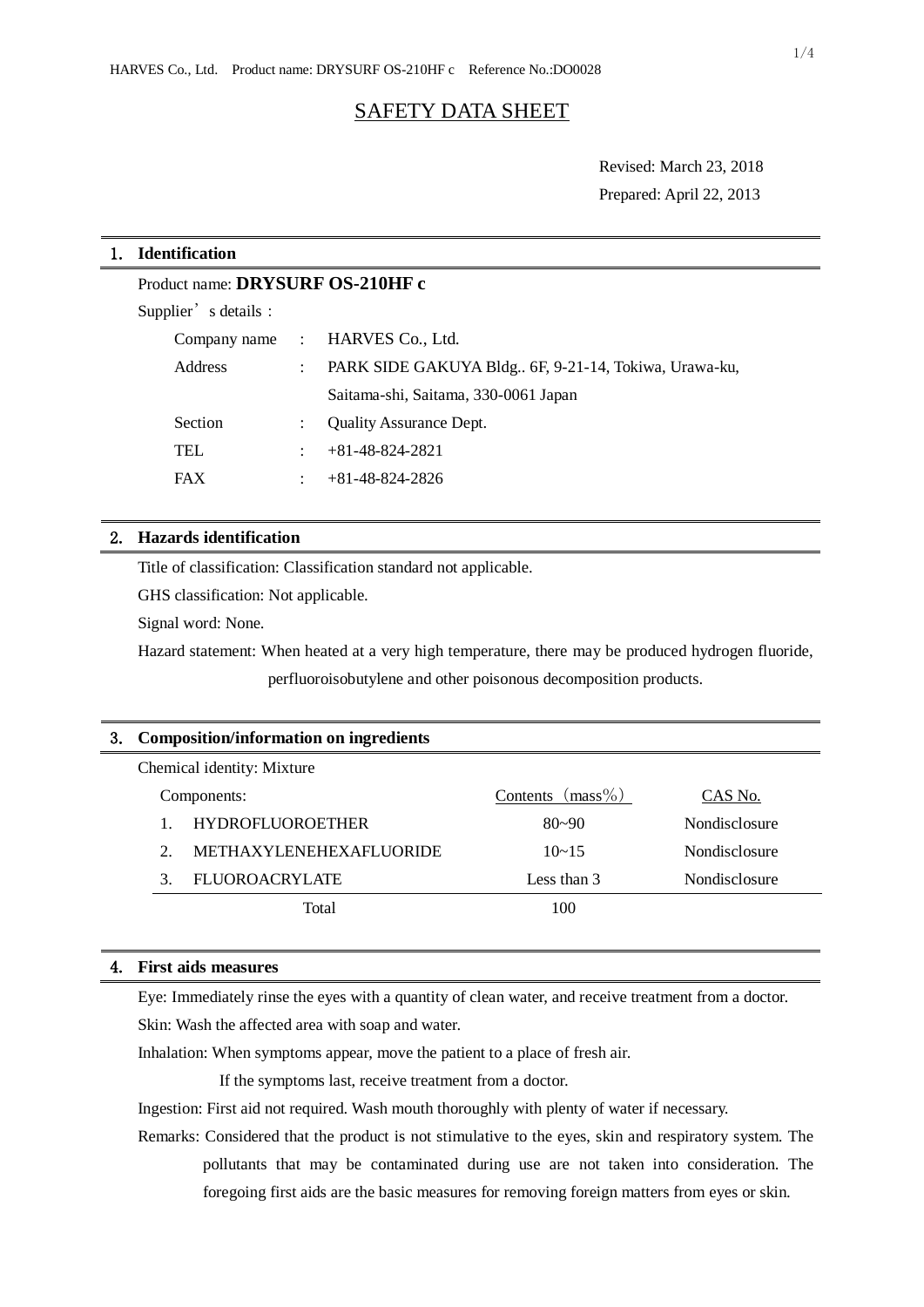# SAFETY DATA SHEET

Revised: March 23, 2018 Prepared: April 22, 2013

# 1. **Identification**

Product name: **DRYSURF OS-210HF c**

Supplier's details:

|            | Company name : HARVES Co., Ltd.                      |  |
|------------|------------------------------------------------------|--|
| Address    | PARK SIDE GAKUYA Bldg 6F, 9-21-14, Tokiwa, Urawa-ku, |  |
|            | Saitama-shi, Saitama, 330-0061 Japan                 |  |
| Section    | <b>Ouality Assurance Dept.</b>                       |  |
| <b>TEL</b> | $+81-48-824-2821$                                    |  |
| <b>FAX</b> | $+81-48-824-2826$                                    |  |

# 2. **Hazards identification**

Title of classification: Classification standard not applicable.

GHS classification: Not applicable.

Signal word: None.

Hazard statement: When heated at a very high temperature, there may be produced hydrogen fluoride, perfluoroisobutylene and other poisonous decomposition products.

| 3. | <b>Composition/information on ingredients</b> |                                |                        |                      |  |  |  |
|----|-----------------------------------------------|--------------------------------|------------------------|----------------------|--|--|--|
|    | Chemical identity: Mixture                    |                                |                        |                      |  |  |  |
|    | Components:                                   |                                | $(mass\%)$<br>Contents | CAS No.              |  |  |  |
|    |                                               | <b>HYDROFLUOROETHER</b>        | $80 - 90$              | Nondisclosure        |  |  |  |
|    | 2.                                            | <b>METHAXYLENEHEXAFLUORIDE</b> | $10 - 15$              | <b>Nondisclosure</b> |  |  |  |
|    | $\mathcal{F}$                                 | <b>FLUOROACRYLATE</b>          | Less than $3$          | Nondisclosure        |  |  |  |
|    |                                               | Total                          | 100                    |                      |  |  |  |
|    |                                               |                                |                        |                      |  |  |  |

# 4. **First aids measures**

Eye: Immediately rinse the eyes with a quantity of clean water, and receive treatment from a doctor. Skin: Wash the affected area with soap and water.

Inhalation: When symptoms appear, move the patient to a place of fresh air.

If the symptoms last, receive treatment from a doctor.

Ingestion: First aid not required. Wash mouth thoroughly with plenty of water if necessary.

Remarks: Considered that the product is not stimulative to the eyes, skin and respiratory system. The pollutants that may be contaminated during use are not taken into consideration. The foregoing first aids are the basic measures for removing foreign matters from eyes or skin.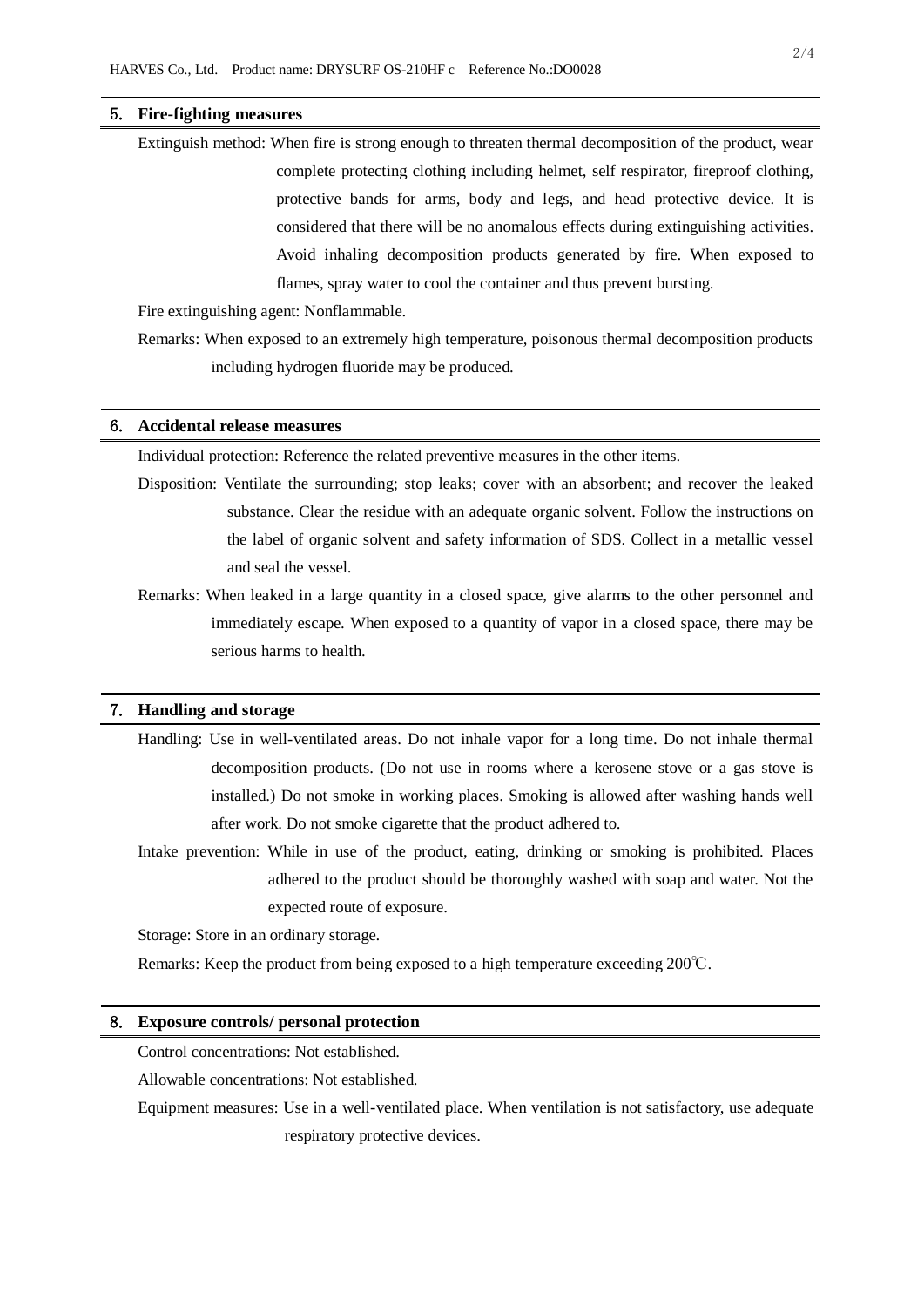#### 5. **Fire-fighting measures**

Extinguish method: When fire is strong enough to threaten thermal decomposition of the product, wear complete protecting clothing including helmet, self respirator, fireproof clothing, protective bands for arms, body and legs, and head protective device. It is considered that there will be no anomalous effects during extinguishing activities. Avoid inhaling decomposition products generated by fire. When exposed to flames, spray water to cool the container and thus prevent bursting.

Fire extinguishing agent: Nonflammable.

Remarks: When exposed to an extremely high temperature, poisonous thermal decomposition products including hydrogen fluoride may be produced.

#### 6. **Accidental release measures**

Individual protection: Reference the related preventive measures in the other items.

Disposition: Ventilate the surrounding; stop leaks; cover with an absorbent; and recover the leaked substance. Clear the residue with an adequate organic solvent. Follow the instructions on the label of organic solvent and safety information of SDS. Collect in a metallic vessel and seal the vessel.

Remarks: When leaked in a large quantity in a closed space, give alarms to the other personnel and immediately escape. When exposed to a quantity of vapor in a closed space, there may be serious harms to health.

### 7. **Handling and storage**

- Handling: Use in well-ventilated areas. Do not inhale vapor for a long time. Do not inhale thermal decomposition products. (Do not use in rooms where a kerosene stove or a gas stove is installed.) Do not smoke in working places. Smoking is allowed after washing hands well after work. Do not smoke cigarette that the product adhered to.
- Intake prevention: While in use of the product, eating, drinking or smoking is prohibited. Places adhered to the product should be thoroughly washed with soap and water. Not the expected route of exposure.

Storage: Store in an ordinary storage.

Remarks: Keep the product from being exposed to a high temperature exceeding 200℃.

#### 8. **Exposure controls/ personal protection**

Control concentrations: Not established.

Allowable concentrations: Not established.

Equipment measures: Use in a well-ventilated place. When ventilation is not satisfactory, use adequate respiratory protective devices.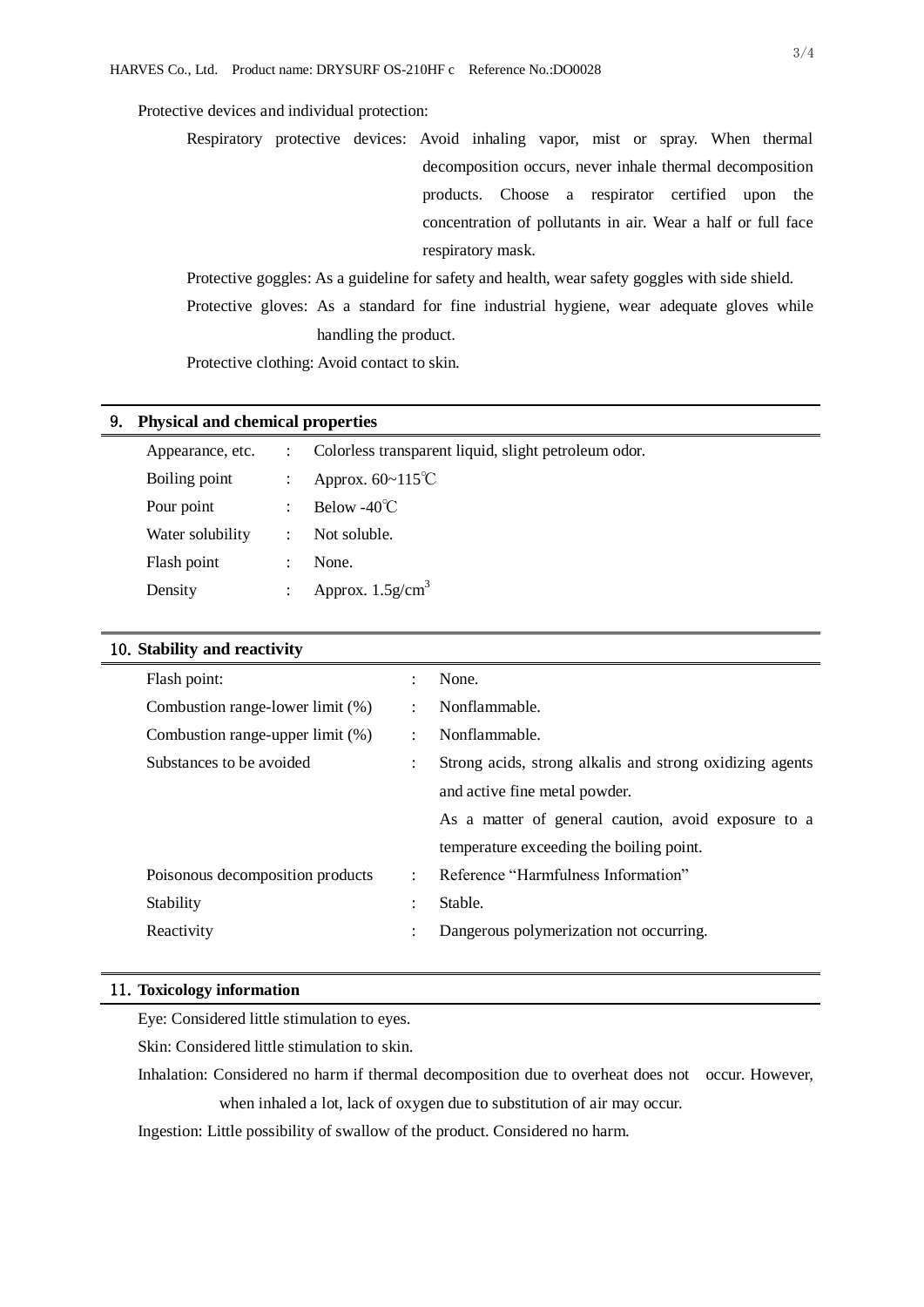# Protective devices and individual protection:

Respiratory protective devices: Avoid inhaling vapor, mist or spray. When thermal decomposition occurs, never inhale thermal decomposition products. Choose a respirator certified upon the concentration of pollutants in air. Wear a half or full face respiratory mask.

Protective goggles: As a guideline for safety and health, wear safety goggles with side shield. Protective gloves: As a standard for fine industrial hygiene, wear adequate gloves while handling the product.

Protective clothing: Avoid contact to skin.

#### 9. **Physical and chemical properties**

| Appearance, etc. |                      | Colorless transparent liquid, slight petroleum odor. |  |
|------------------|----------------------|------------------------------------------------------|--|
| Boiling point    |                      | Approx. $60 \sim 115^{\circ}$ C                      |  |
| Pour point       |                      | Below -40 $\degree$ C                                |  |
| Water solubility | $\ddot{\phantom{a}}$ | Not soluble.                                         |  |
| Flash point      |                      | None.                                                |  |
| Density          |                      | Approx. $1.5$ g/cm <sup>3</sup>                      |  |
|                  |                      |                                                      |  |

### 10.**Stability and reactivity**

| Flash point:                     | $\ddot{\cdot}$       | None.                                                    |
|----------------------------------|----------------------|----------------------------------------------------------|
| Combustion range-lower limit (%) | $\ddot{\cdot}$       | Nonflammable.                                            |
| Combustion range-upper limit (%) | $\ddot{\phantom{a}}$ | Nonflammable.                                            |
| Substances to be avoided         | $\ddot{\phantom{a}}$ | Strong acids, strong alkalis and strong oxidizing agents |
|                                  |                      | and active fine metal powder.                            |
|                                  |                      | As a matter of general caution, avoid exposure to a      |
|                                  |                      | temperature exceeding the boiling point.                 |
| Poisonous decomposition products | ÷                    | Reference "Harmfulness Information"                      |
| Stability                        | $\ddot{\phantom{a}}$ | Stable.                                                  |
| Reactivity                       | ٠                    | Dangerous polymerization not occurring.                  |
|                                  |                      |                                                          |

### 11.**Toxicology information**

Eye: Considered little stimulation to eyes.

Skin: Considered little stimulation to skin.

Inhalation: Considered no harm if thermal decomposition due to overheat does not occur. However, when inhaled a lot, lack of oxygen due to substitution of air may occur.

Ingestion: Little possibility of swallow of the product. Considered no harm.